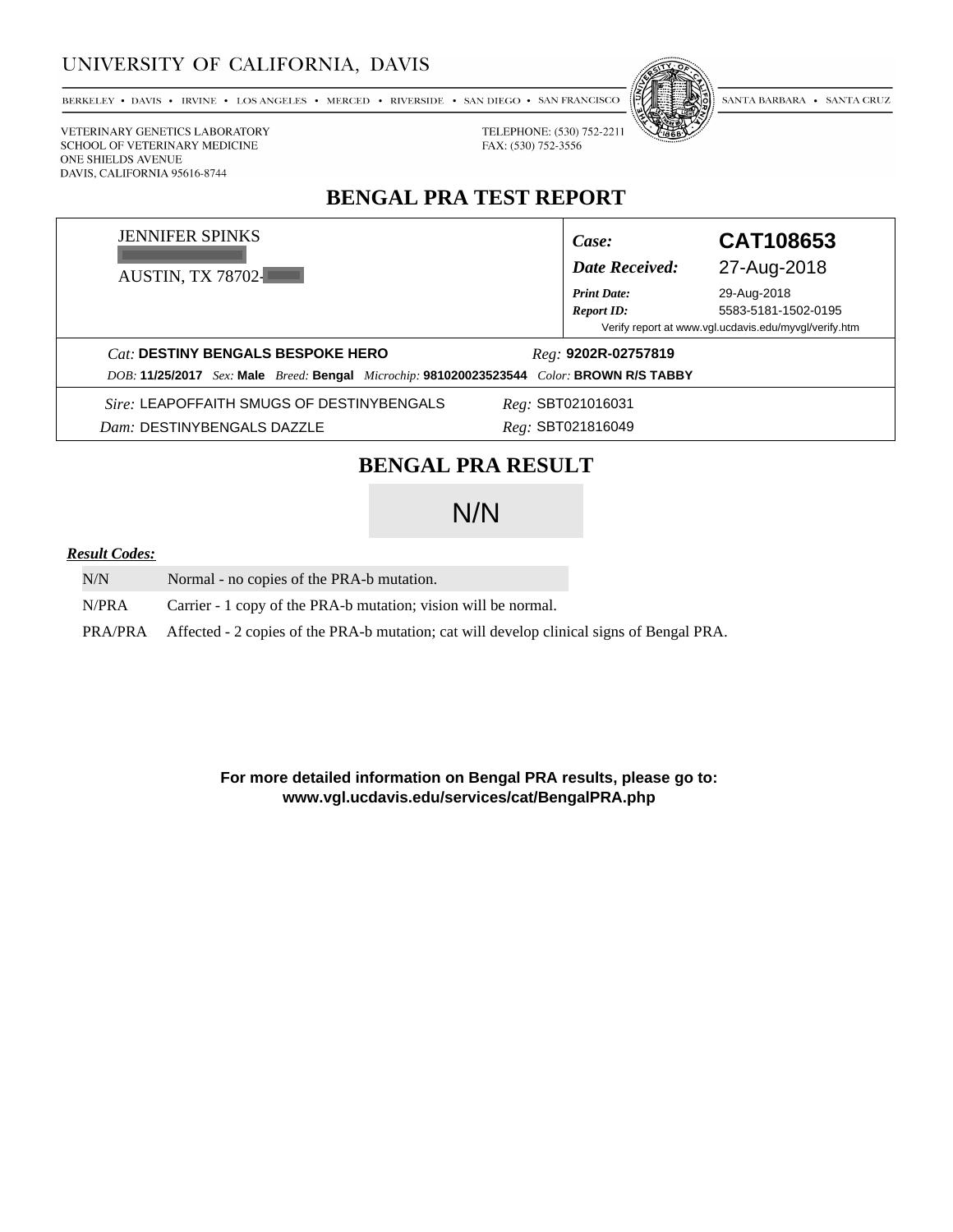### UNIVERSITY OF CALIFORNIA, DAVIS

BERKELEY • DAVIS • IRVINE • LOS ANGELES • MERCED • RIVERSIDE • SAN DIEGO • SAN FRANCISCO



SANTA BARBARA • SANTA CRUZ

VETERINARY GENETICS LABORATORY SCHOOL OF VETERINARY MEDICINE ONE SHIELDS AVENUE DAVIS, CALIFORNIA 95616-8744

## **BENGAL PRA TEST REPORT**

FAX: (530) 752-3556

| <b>JENNIFER SPINKS</b><br><b>AUSTIN, TX 78702-</b>                                                                                | Case:<br><b>Date Received:</b>          | CAT108653<br>27-Aug-2018                                                                    |
|-----------------------------------------------------------------------------------------------------------------------------------|-----------------------------------------|---------------------------------------------------------------------------------------------|
|                                                                                                                                   | <b>Print Date:</b><br><b>Report ID:</b> | 29-Aug-2018<br>5583-5181-1502-0195<br>Verify report at www.vgl.ucdavis.edu/myvgl/verify.htm |
| $Cat$ : DESTINY BENGALS BESPOKE HERO<br>DOB: 11/25/2017 Sex: Male Breed: Bengal Microchip: 981020023523544 Color: BROWN R/S TABBY | $Reg: 9202R-02757819$                   |                                                                                             |
| Sire: LEAPOFFAITH SMUGS OF DESTINYBENGALS<br>Dam: DESTINYBENGALS DAZZLE                                                           | Reg: SBT021016031<br>Reg: SBT021816049  |                                                                                             |

## **BENGAL PRA RESULT**

# N/N

#### *Result Codes:*

- N/N Normal no copies of the PRA-b mutation.
- N/PRA Carrier 1 copy of the PRA-b mutation; vision will be normal.
- PRA/PRA Affected 2 copies of the PRA-b mutation; cat will develop clinical signs of Bengal PRA.

**For more detailed information on Bengal PRA results, please go to: www.vgl.ucdavis.edu/services/cat/BengalPRA.php**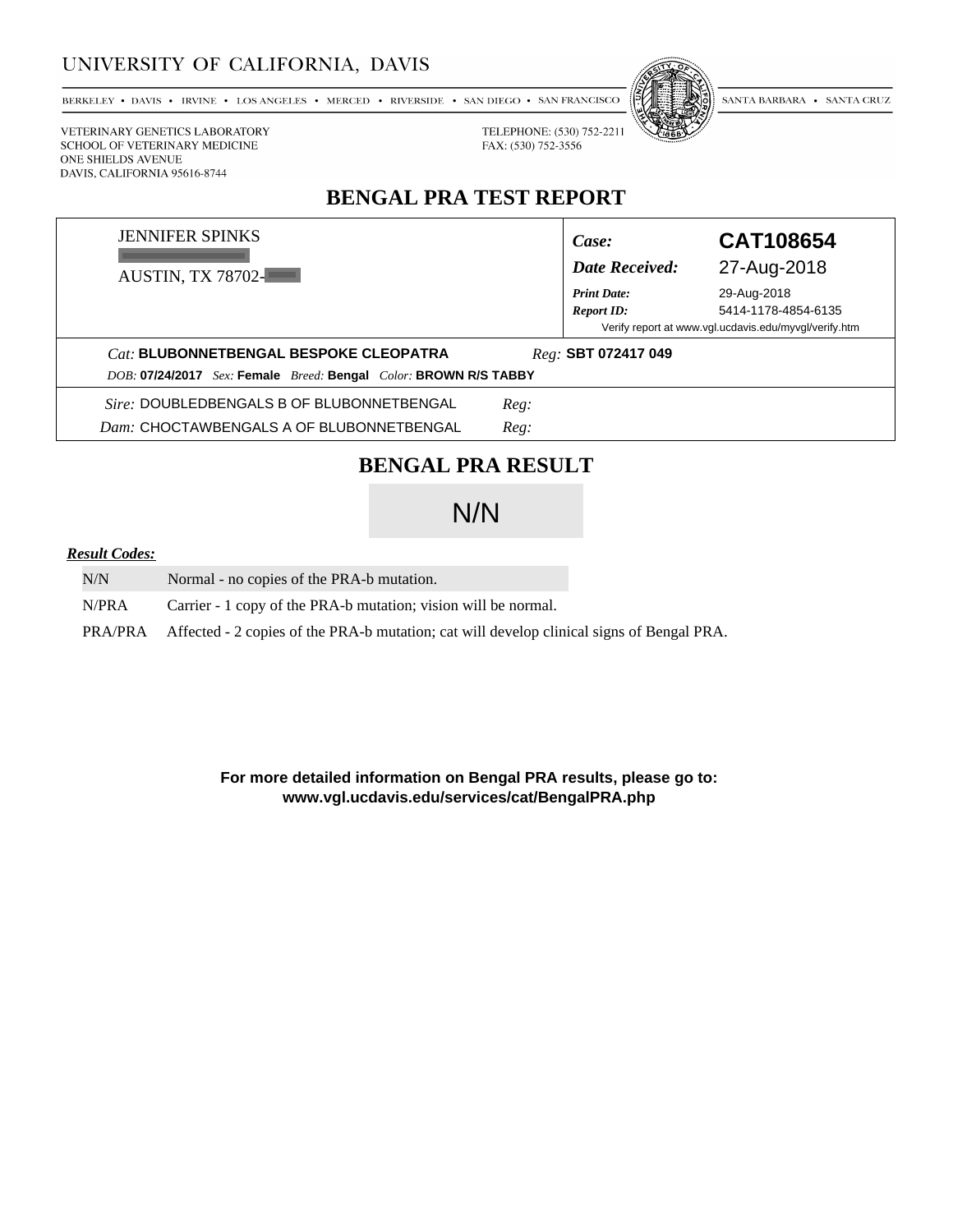### UNIVERSITY OF CALIFORNIA, DAVIS

BERKELEY • DAVIS • IRVINE • LOS ANGELES • MERCED • RIVERSIDE • SAN DIEGO • SAN FRANCISCO



SANTA BARBARA • SANTA CRUZ

VETERINARY GENETICS LABORATORY SCHOOL OF VETERINARY MEDICINE ONE SHIELDS AVENUE DAVIS, CALIFORNIA 95616-8744

## **BENGAL PRA TEST REPORT**

FAX: (530) 752-3556

| <b>JENNIFER SPINKS</b><br><b>AUSTIN, TX 78702-1000</b>                                                     | Case:<br><b>Date Received:</b>          | CAT108654<br>27-Aug-2018                                                                    |
|------------------------------------------------------------------------------------------------------------|-----------------------------------------|---------------------------------------------------------------------------------------------|
|                                                                                                            | <b>Print Date:</b><br><b>Report ID:</b> | 29-Aug-2018<br>5414-1178-4854-6135<br>Verify report at www.vgl.ucdavis.edu/myvgl/verify.htm |
| Cat: BLUBONNETBENGAL BESPOKE CLEOPATRA<br>DOB: 07/24/2017 Sex: Female Breed: Bengal Color: BROWN R/S TABBY | Reg: SBT 072417 049                     |                                                                                             |
| Sire: DOUBLEDBENGALS B OF BLUBONNETBENGAL<br>Dam: CHOCTAWBENGALS A OF BLUBONNETBENGAL                      | Reg:<br>Reg:                            |                                                                                             |

# **BENGAL PRA RESULT**

# N/N

#### *Result Codes:*

- N/N Normal no copies of the PRA-b mutation.
- N/PRA Carrier 1 copy of the PRA-b mutation; vision will be normal.
- PRA/PRA Affected 2 copies of the PRA-b mutation; cat will develop clinical signs of Bengal PRA.

**For more detailed information on Bengal PRA results, please go to: www.vgl.ucdavis.edu/services/cat/BengalPRA.php**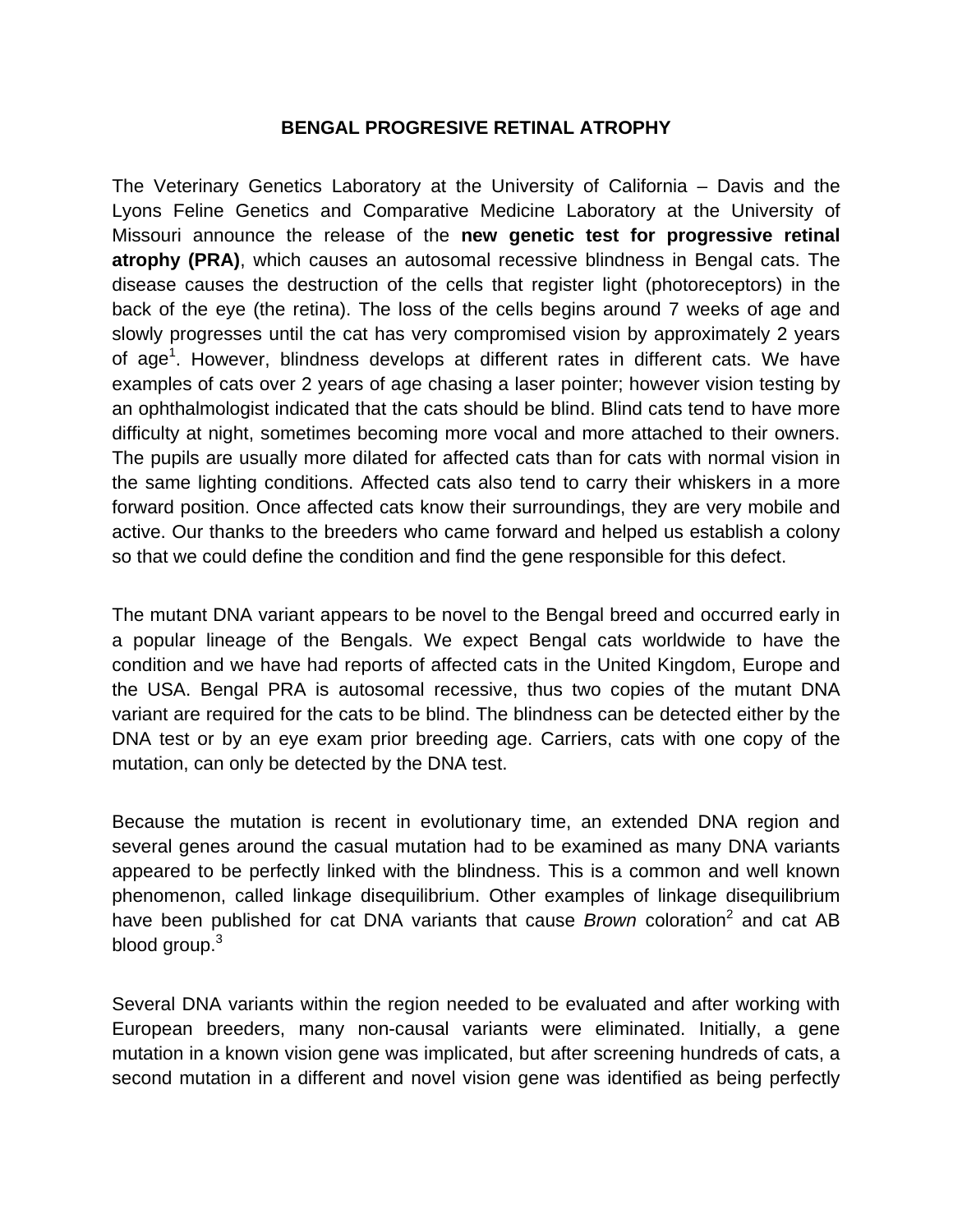#### **BENGAL PROGRESIVE RETINAL ATROPHY**

The Veterinary Genetics Laboratory at the University of California – Davis and the Lyons Feline Genetics and Comparative Medicine Laboratory at the University of Missouri announce the release of the **new genetic test for progressive retinal atrophy (PRA)**, which causes an autosomal recessive blindness in Bengal cats. The disease causes the destruction of the cells that register light (photoreceptors) in the back of the eye (the retina). The loss of the cells begins around 7 weeks of age and slowly progresses until the cat has very compromised vision by approximately 2 years of age<sup>1</sup>. However, blindness develops at different rates in different cats. We have examples of cats over 2 years of age chasing a laser pointer; however vision testing by an ophthalmologist indicated that the cats should be blind. Blind cats tend to have more difficulty at night, sometimes becoming more vocal and more attached to their owners. The pupils are usually more dilated for affected cats than for cats with normal vision in the same lighting conditions. Affected cats also tend to carry their whiskers in a more forward position. Once affected cats know their surroundings, they are very mobile and active. Our thanks to the breeders who came forward and helped us establish a colony so that we could define the condition and find the gene responsible for this defect.

The mutant DNA variant appears to be novel to the Bengal breed and occurred early in a popular lineage of the Bengals. We expect Bengal cats worldwide to have the condition and we have had reports of affected cats in the United Kingdom, Europe and the USA. Bengal PRA is autosomal recessive, thus two copies of the mutant DNA variant are required for the cats to be blind. The blindness can be detected either by the DNA test or by an eye exam prior breeding age. Carriers, cats with one copy of the mutation, can only be detected by the DNA test.

Because the mutation is recent in evolutionary time, an extended DNA region and several genes around the casual mutation had to be examined as many DNA variants appeared to be perfectly linked with the blindness. This is a common and well known phenomenon, called linkage disequilibrium. Other examples of linkage disequilibrium have been published for cat DNA variants that cause *Brown* coloration<sup>2</sup> and cat AB blood group.<sup>3</sup>

Several DNA variants within the region needed to be evaluated and after working with European breeders, many non-causal variants were eliminated. Initially, a gene mutation in a known vision gene was implicated, but after screening hundreds of cats, a second mutation in a different and novel vision gene was identified as being perfectly